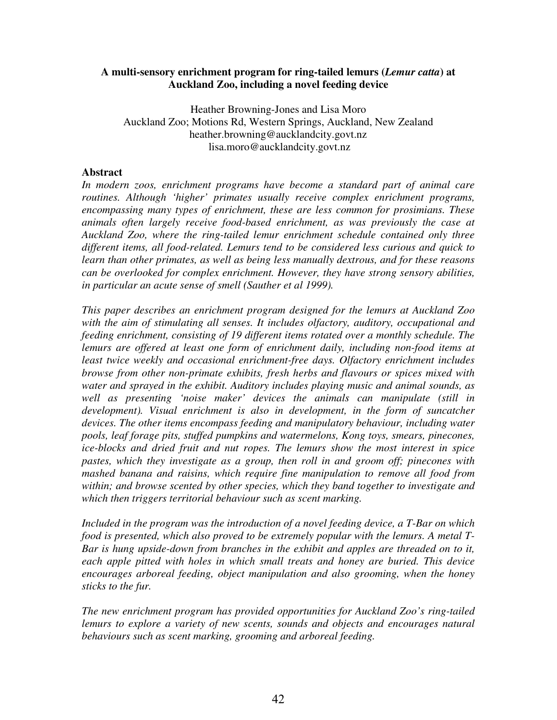#### **A multi-sensory enrichment program for ring-tailed lemurs (***Lemur catta***) at Auckland Zoo, including a novel feeding device**

Heather Browning-Jones and Lisa Moro Auckland Zoo; Motions Rd, Western Springs, Auckland, New Zealand heather.browning@aucklandcity.govt.nz lisa.moro@aucklandcity.govt.nz

#### **Abstract**

*In modern zoos, enrichment programs have become a standard part of animal care routines. Although 'higher' primates usually receive complex enrichment programs, encompassing many types of enrichment, these are less common for prosimians. These animals often largely receive food-based enrichment, as was previously the case at Auckland Zoo, where the ring-tailed lemur enrichment schedule contained only three different items, all food-related. Lemurs tend to be considered less curious and quick to learn than other primates, as well as being less manually dextrous, and for these reasons can be overlooked for complex enrichment. However, they have strong sensory abilities, in particular an acute sense of smell (Sauther et al 1999).* 

*This paper describes an enrichment program designed for the lemurs at Auckland Zoo with the aim of stimulating all senses. It includes olfactory, auditory, occupational and feeding enrichment, consisting of 19 different items rotated over a monthly schedule. The*  lemurs are offered at least one form of enrichment daily, including non-food items at *least twice weekly and occasional enrichment-free days. Olfactory enrichment includes browse from other non-primate exhibits, fresh herbs and flavours or spices mixed with water and sprayed in the exhibit. Auditory includes playing music and animal sounds, as well as presenting 'noise maker' devices the animals can manipulate (still in development). Visual enrichment is also in development, in the form of suncatcher devices. The other items encompass feeding and manipulatory behaviour, including water pools, leaf forage pits, stuffed pumpkins and watermelons, Kong toys, smears, pinecones, ice-blocks and dried fruit and nut ropes. The lemurs show the most interest in spice pastes, which they investigate as a group, then roll in and groom off; pinecones with mashed banana and raisins, which require fine manipulation to remove all food from within; and browse scented by other species, which they band together to investigate and which then triggers territorial behaviour such as scent marking.* 

*Included in the program was the introduction of a novel feeding device, a T-Bar on which food is presented, which also proved to be extremely popular with the lemurs. A metal T-Bar is hung upside-down from branches in the exhibit and apples are threaded on to it, each apple pitted with holes in which small treats and honey are buried. This device encourages arboreal feeding, object manipulation and also grooming, when the honey sticks to the fur.* 

*The new enrichment program has provided opportunities for Auckland Zoo's ring-tailed*  lemurs to explore a variety of new scents, sounds and objects and encourages natural *behaviours such as scent marking, grooming and arboreal feeding.*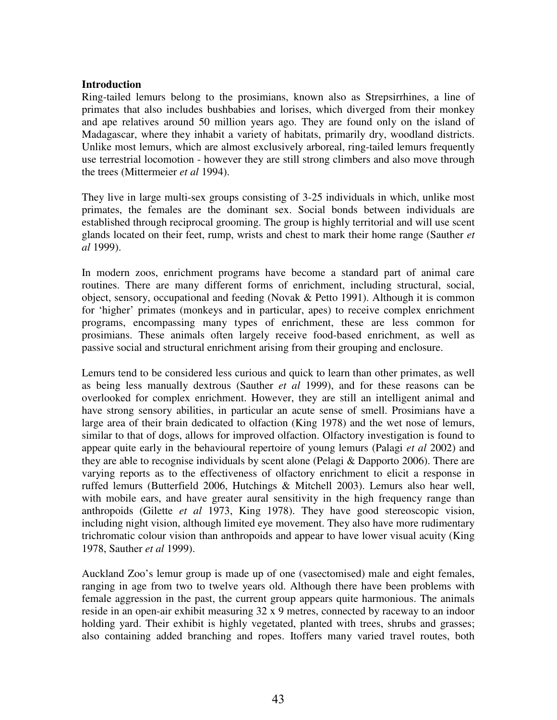#### **Introduction**

Ring-tailed lemurs belong to the prosimians, known also as Strepsirrhines, a line of primates that also includes bushbabies and lorises, which diverged from their monkey and ape relatives around 50 million years ago. They are found only on the island of Madagascar, where they inhabit a variety of habitats, primarily dry, woodland districts. Unlike most lemurs, which are almost exclusively arboreal, ring-tailed lemurs frequently use terrestrial locomotion - however they are still strong climbers and also move through the trees (Mittermeier *et al* 1994).

They live in large multi-sex groups consisting of 3-25 individuals in which, unlike most primates, the females are the dominant sex. Social bonds between individuals are established through reciprocal grooming. The group is highly territorial and will use scent glands located on their feet, rump, wrists and chest to mark their home range (Sauther *et al* 1999).

In modern zoos, enrichment programs have become a standard part of animal care routines. There are many different forms of enrichment, including structural, social, object, sensory, occupational and feeding (Novak & Petto 1991). Although it is common for 'higher' primates (monkeys and in particular, apes) to receive complex enrichment programs, encompassing many types of enrichment, these are less common for prosimians. These animals often largely receive food-based enrichment, as well as passive social and structural enrichment arising from their grouping and enclosure.

Lemurs tend to be considered less curious and quick to learn than other primates, as well as being less manually dextrous (Sauther *et al* 1999), and for these reasons can be overlooked for complex enrichment. However, they are still an intelligent animal and have strong sensory abilities, in particular an acute sense of smell. Prosimians have a large area of their brain dedicated to olfaction (King 1978) and the wet nose of lemurs, similar to that of dogs, allows for improved olfaction. Olfactory investigation is found to appear quite early in the behavioural repertoire of young lemurs (Palagi *et al* 2002) and they are able to recognise individuals by scent alone (Pelagi & Dapporto 2006). There are varying reports as to the effectiveness of olfactory enrichment to elicit a response in ruffed lemurs (Butterfield 2006, Hutchings & Mitchell 2003). Lemurs also hear well, with mobile ears, and have greater aural sensitivity in the high frequency range than anthropoids (Gilette *et al* 1973, King 1978). They have good stereoscopic vision, including night vision, although limited eye movement. They also have more rudimentary trichromatic colour vision than anthropoids and appear to have lower visual acuity (King 1978, Sauther *et al* 1999).

Auckland Zoo's lemur group is made up of one (vasectomised) male and eight females, ranging in age from two to twelve years old. Although there have been problems with female aggression in the past, the current group appears quite harmonious. The animals reside in an open-air exhibit measuring 32 x 9 metres, connected by raceway to an indoor holding yard. Their exhibit is highly vegetated, planted with trees, shrubs and grasses; also containing added branching and ropes. Itoffers many varied travel routes, both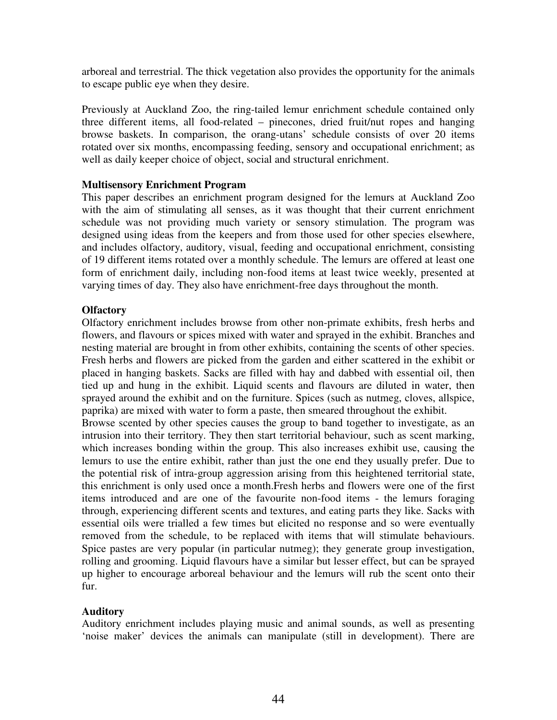arboreal and terrestrial. The thick vegetation also provides the opportunity for the animals to escape public eye when they desire.

Previously at Auckland Zoo, the ring-tailed lemur enrichment schedule contained only three different items, all food-related – pinecones, dried fruit/nut ropes and hanging browse baskets. In comparison, the orang-utans' schedule consists of over 20 items rotated over six months, encompassing feeding, sensory and occupational enrichment; as well as daily keeper choice of object, social and structural enrichment.

### **Multisensory Enrichment Program**

This paper describes an enrichment program designed for the lemurs at Auckland Zoo with the aim of stimulating all senses, as it was thought that their current enrichment schedule was not providing much variety or sensory stimulation. The program was designed using ideas from the keepers and from those used for other species elsewhere, and includes olfactory, auditory, visual, feeding and occupational enrichment, consisting of 19 different items rotated over a monthly schedule. The lemurs are offered at least one form of enrichment daily, including non-food items at least twice weekly, presented at varying times of day. They also have enrichment-free days throughout the month.

### **Olfactory**

Olfactory enrichment includes browse from other non-primate exhibits, fresh herbs and flowers, and flavours or spices mixed with water and sprayed in the exhibit. Branches and nesting material are brought in from other exhibits, containing the scents of other species. Fresh herbs and flowers are picked from the garden and either scattered in the exhibit or placed in hanging baskets. Sacks are filled with hay and dabbed with essential oil, then tied up and hung in the exhibit. Liquid scents and flavours are diluted in water, then sprayed around the exhibit and on the furniture. Spices (such as nutmeg, cloves, allspice, paprika) are mixed with water to form a paste, then smeared throughout the exhibit.

Browse scented by other species causes the group to band together to investigate, as an intrusion into their territory. They then start territorial behaviour, such as scent marking, which increases bonding within the group. This also increases exhibit use, causing the lemurs to use the entire exhibit, rather than just the one end they usually prefer. Due to the potential risk of intra-group aggression arising from this heightened territorial state, this enrichment is only used once a month.Fresh herbs and flowers were one of the first items introduced and are one of the favourite non-food items - the lemurs foraging through, experiencing different scents and textures, and eating parts they like. Sacks with essential oils were trialled a few times but elicited no response and so were eventually removed from the schedule, to be replaced with items that will stimulate behaviours. Spice pastes are very popular (in particular nutmeg); they generate group investigation, rolling and grooming. Liquid flavours have a similar but lesser effect, but can be sprayed up higher to encourage arboreal behaviour and the lemurs will rub the scent onto their fur.

### **Auditory**

Auditory enrichment includes playing music and animal sounds, as well as presenting 'noise maker' devices the animals can manipulate (still in development). There are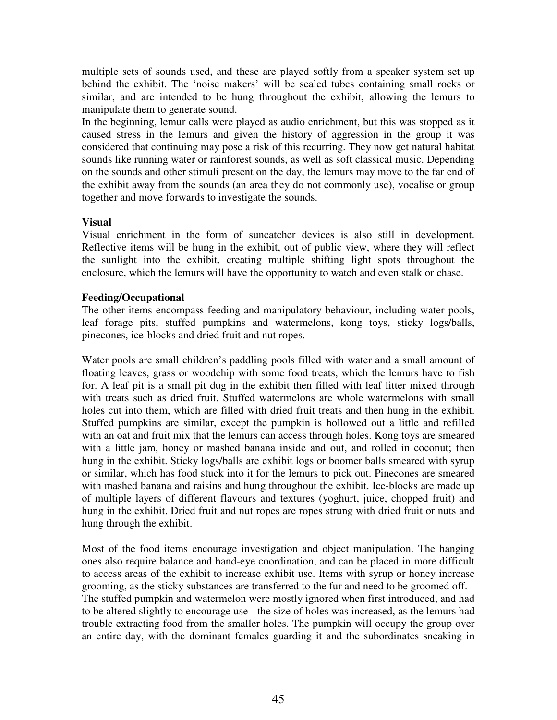multiple sets of sounds used, and these are played softly from a speaker system set up behind the exhibit. The 'noise makers' will be sealed tubes containing small rocks or similar, and are intended to be hung throughout the exhibit, allowing the lemurs to manipulate them to generate sound.

In the beginning, lemur calls were played as audio enrichment, but this was stopped as it caused stress in the lemurs and given the history of aggression in the group it was considered that continuing may pose a risk of this recurring. They now get natural habitat sounds like running water or rainforest sounds, as well as soft classical music. Depending on the sounds and other stimuli present on the day, the lemurs may move to the far end of the exhibit away from the sounds (an area they do not commonly use), vocalise or group together and move forwards to investigate the sounds.

# **Visual**

Visual enrichment in the form of suncatcher devices is also still in development. Reflective items will be hung in the exhibit, out of public view, where they will reflect the sunlight into the exhibit, creating multiple shifting light spots throughout the enclosure, which the lemurs will have the opportunity to watch and even stalk or chase.

# **Feeding/Occupational**

The other items encompass feeding and manipulatory behaviour, including water pools, leaf forage pits, stuffed pumpkins and watermelons, kong toys, sticky logs/balls, pinecones, ice-blocks and dried fruit and nut ropes.

Water pools are small children's paddling pools filled with water and a small amount of floating leaves, grass or woodchip with some food treats, which the lemurs have to fish for. A leaf pit is a small pit dug in the exhibit then filled with leaf litter mixed through with treats such as dried fruit. Stuffed watermelons are whole watermelons with small holes cut into them, which are filled with dried fruit treats and then hung in the exhibit. Stuffed pumpkins are similar, except the pumpkin is hollowed out a little and refilled with an oat and fruit mix that the lemurs can access through holes. Kong toys are smeared with a little jam, honey or mashed banana inside and out, and rolled in coconut; then hung in the exhibit. Sticky logs/balls are exhibit logs or boomer balls smeared with syrup or similar, which has food stuck into it for the lemurs to pick out. Pinecones are smeared with mashed banana and raisins and hung throughout the exhibit. Ice-blocks are made up of multiple layers of different flavours and textures (yoghurt, juice, chopped fruit) and hung in the exhibit. Dried fruit and nut ropes are ropes strung with dried fruit or nuts and hung through the exhibit.

Most of the food items encourage investigation and object manipulation. The hanging ones also require balance and hand-eye coordination, and can be placed in more difficult to access areas of the exhibit to increase exhibit use. Items with syrup or honey increase grooming, as the sticky substances are transferred to the fur and need to be groomed off. The stuffed pumpkin and watermelon were mostly ignored when first introduced, and had to be altered slightly to encourage use - the size of holes was increased, as the lemurs had trouble extracting food from the smaller holes. The pumpkin will occupy the group over an entire day, with the dominant females guarding it and the subordinates sneaking in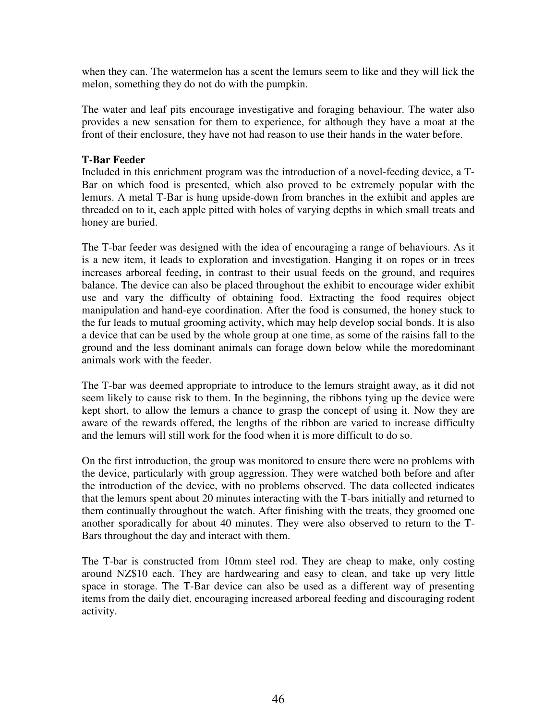when they can. The watermelon has a scent the lemurs seem to like and they will lick the melon, something they do not do with the pumpkin.

The water and leaf pits encourage investigative and foraging behaviour. The water also provides a new sensation for them to experience, for although they have a moat at the front of their enclosure, they have not had reason to use their hands in the water before.

# **T-Bar Feeder**

Included in this enrichment program was the introduction of a novel-feeding device, a T-Bar on which food is presented, which also proved to be extremely popular with the lemurs. A metal T-Bar is hung upside-down from branches in the exhibit and apples are threaded on to it, each apple pitted with holes of varying depths in which small treats and honey are buried.

The T-bar feeder was designed with the idea of encouraging a range of behaviours. As it is a new item, it leads to exploration and investigation. Hanging it on ropes or in trees increases arboreal feeding, in contrast to their usual feeds on the ground, and requires balance. The device can also be placed throughout the exhibit to encourage wider exhibit use and vary the difficulty of obtaining food. Extracting the food requires object manipulation and hand-eye coordination. After the food is consumed, the honey stuck to the fur leads to mutual grooming activity, which may help develop social bonds. It is also a device that can be used by the whole group at one time, as some of the raisins fall to the ground and the less dominant animals can forage down below while the moredominant animals work with the feeder.

The T-bar was deemed appropriate to introduce to the lemurs straight away, as it did not seem likely to cause risk to them. In the beginning, the ribbons tying up the device were kept short, to allow the lemurs a chance to grasp the concept of using it. Now they are aware of the rewards offered, the lengths of the ribbon are varied to increase difficulty and the lemurs will still work for the food when it is more difficult to do so.

On the first introduction, the group was monitored to ensure there were no problems with the device, particularly with group aggression. They were watched both before and after the introduction of the device, with no problems observed. The data collected indicates that the lemurs spent about 20 minutes interacting with the T-bars initially and returned to them continually throughout the watch. After finishing with the treats, they groomed one another sporadically for about 40 minutes. They were also observed to return to the T-Bars throughout the day and interact with them.

The T-bar is constructed from 10mm steel rod. They are cheap to make, only costing around NZ\$10 each. They are hardwearing and easy to clean, and take up very little space in storage. The T-Bar device can also be used as a different way of presenting items from the daily diet, encouraging increased arboreal feeding and discouraging rodent activity.